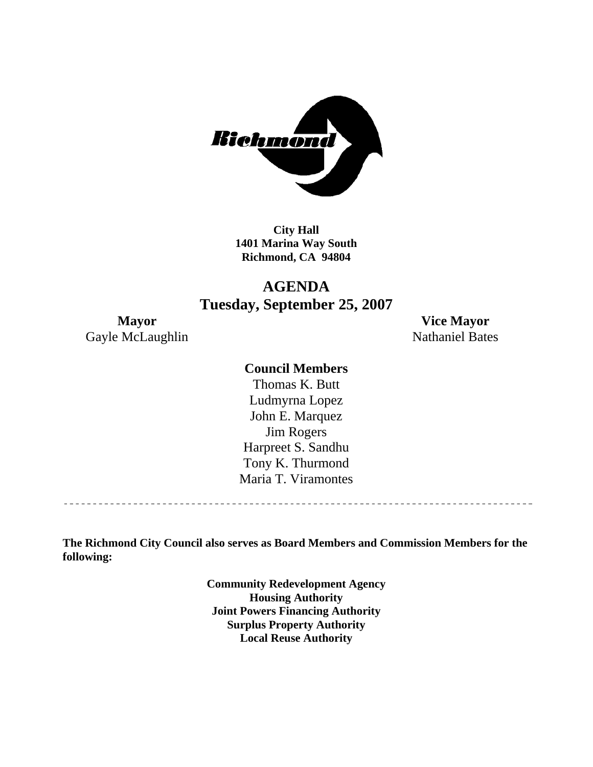

**City Hall 1401 Marina Way South Richmond, CA 94804** 

#### **AGENDA Tuesday, September 25, 2007**

Gayle McLaughlin Nathaniel Bates

**Mayor Vice Mayor** 

#### **Council Members**

Harpreet S. Sandhu Tony K. Thurmond Maria T. Viramontes Thomas K. Butt Ludmyrna Lopez John E. Marquez Jim Rogers

**The Richmond City Council also serves as Board Members and Commission Members for the following:** 

> **Community Redevelopment Agency Housing Authority Joint Powers Financing Authority Surplus Property Authority Local Reuse Authority**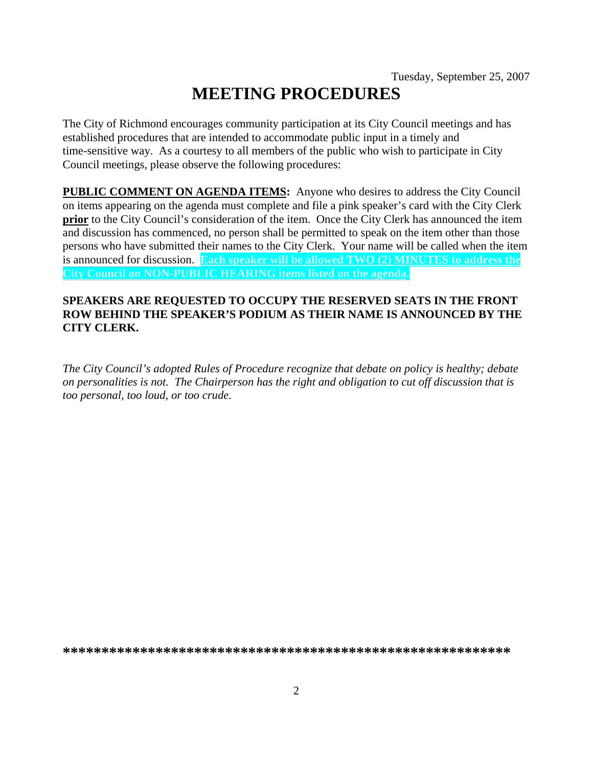## **MEETING PROCEDURES**

The City of Richmond encourages community participation at its City Council meetings and has established procedures that are intended to accommodate public input in a timely and time-sensitive way. As a courtesy to all members of the public who wish to participate in City Council meetings, please observe the following procedures:

**PUBLIC COMMENT ON AGENDA ITEMS:** Anyone who desires to address the City Council on items appearing on the agenda must complete and file a pink speaker's card with the City Clerk **prior** to the City Council's consideration of the item. Once the City Clerk has announced the item and discussion has commenced, no person shall be permitted to speak on the item other than those persons who have submitted their names to the City Clerk. Your name will be called when the item is announced for discussion. **Each speaker will be allowed TWO (2) MINUTES to address the City Council on NON-PUBLIC HEARING items listed on the agenda.** 

#### **SPEAKERS ARE REQUESTED TO OCCUPY THE RESERVED SEATS IN THE FRONT ROW BEHIND THE SPEAKER'S PODIUM AS THEIR NAME IS ANNOUNCED BY THE CITY CLERK.**

*The City Council's adopted Rules of Procedure recognize that debate on policy is healthy; debate on personalities is not. The Chairperson has the right and obligation to cut off discussion that is too personal, too loud, or too crude.* 

**\*\*\*\*\*\*\*\*\*\*\*\*\*\*\*\*\*\*\*\*\*\*\*\*\*\*\*\*\*\*\*\*\*\*\*\*\*\*\*\*\*\*\*\*\*\*\*\*\*\*\*\*\*\*\*\*\*\***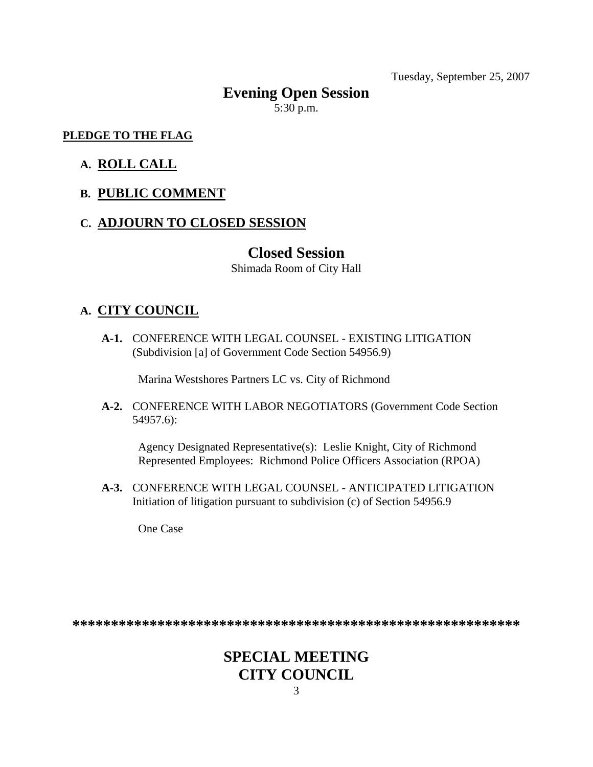Tuesday, September 25, 2007

# **Evening Open Session**

5:30 p.m.

#### **PLEDGE TO THE FLAG**

#### **A. ROLL CALL**

#### **B. PUBLIC COMMENT**

#### **C. ADJOURN TO CLOSED SESSION**

#### **Closed Session**

Shimada Room of City Hall

#### **A. CITY COUNCIL**

 **A-1.** CONFERENCE WITH LEGAL COUNSEL - EXISTING LITIGATION (Subdivision [a] of Government Code Section 54956.9)

Marina Westshores Partners LC vs. City of Richmond

 **A-2.** CONFERENCE WITH LABOR NEGOTIATORS (Government Code Section 54957.6):

Agency Designated Representative(s): Leslie Knight, City of Richmond Represented Employees: Richmond Police Officers Association (RPOA)

 **A-3.** CONFERENCE WITH LEGAL COUNSEL - ANTICIPATED LITIGATION Initiation of litigation pursuant to subdivision (c) of Section 54956.9

One Case

**\*\*\*\*\*\*\*\*\*\*\*\*\*\*\*\*\*\*\*\*\*\*\*\*\*\*\*\*\*\*\*\*\*\*\*\*\*\*\*\*\*\*\*\*\*\*\*\*\*\*\*\*\*\*\*\*\*\*** 

### **SPECIAL MEETING CITY COUNCIL**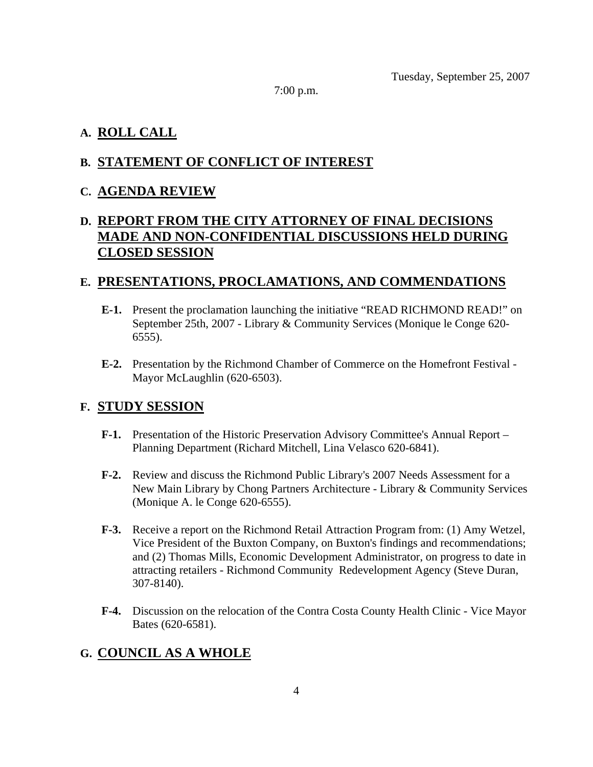7:00 p.m.

#### **A. ROLL CALL**

#### **B. STATEMENT OF CONFLICT OF INTEREST**

#### **C. AGENDA REVIEW**

#### **D. REPORT FROM THE CITY ATTORNEY OF FINAL DECISIONS MADE AND NON-CONFIDENTIAL DISCUSSIONS HELD DURING CLOSED SESSION**

#### **E. PRESENTATIONS, PROCLAMATIONS, AND COMMENDATIONS**

- **E-1.** Present the proclamation launching the initiative "READ RICHMOND READ!" on September 25th, 2007 - Library & Community Services (Monique le Conge 620- 6555).
- **E-2.** Presentation by the Richmond Chamber of Commerce on the Homefront Festival Mayor McLaughlin (620-6503).

#### **F. STUDY SESSION**

- **F-1.** Presentation of the Historic Preservation Advisory Committee's Annual Report Planning Department (Richard Mitchell, Lina Velasco 620-6841).
- **F-2.** Review and discuss the Richmond Public Library's 2007 Needs Assessment for a New Main Library by Chong Partners Architecture - Library & Community Services (Monique A. le Conge 620-6555).
- **F-3.** Receive a report on the Richmond Retail Attraction Program from: (1) Amy Wetzel, Vice President of the Buxton Company, on Buxton's findings and recommendations; and (2) Thomas Mills, Economic Development Administrator, on progress to date in attracting retailers - Richmond Community Redevelopment Agency (Steve Duran, 307-8140).
- **F-4.** Discussion on the relocation of the Contra Costa County Health Clinic Vice Mayor Bates (620-6581).

#### **G. COUNCIL AS A WHOLE**